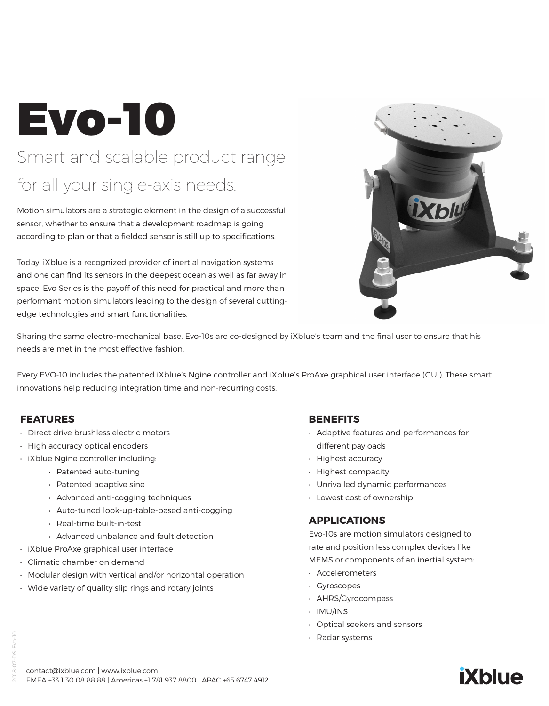# Evo-10 Smart and scalable product range for all your single-axis needs.

Motion simulators are a strategic element in the design of a successful sensor, whether to ensure that a development roadmap is going according to plan or that a fielded sensor is still up to specifications.

Today, iXblue is a recognized provider of inertial navigation systems and one can find its sensors in the deepest ocean as well as far away in space. Evo Series is the payoff of this need for practical and more than performant motion simulators leading to the design of several cuttingedge technologies and smart functionalities.



Sharing the same electro-mechanical base, Evo-10s are co-designed by iXblue's team and the final user to ensure that his needs are met in the most effective fashion.

Every EVO-10 includes the patented iXblue's Ngine controller and iXblue's ProAxe graphical user interface (GUI). These smart innovations help reducing integration time and non-recurring costs.

#### **FEATURES**

- Direct drive brushless electric motors
- High accuracy optical encoders
- iXblue Ngine controller including:
	- Patented auto-tuning
	- Patented adaptive sine
	- Advanced anti-cogging techniques
	- Auto-tuned look-up-table-based anti-cogging
	- Real-time built-in-test
	- Advanced unbalance and fault detection
- iXblue ProAxe graphical user interface
- Climatic chamber on demand
- Modular design with vertical and/or horizontal operation
- Wide variety of quality slip rings and rotary joints

#### **BENEFITS**

- Adaptive features and performances for different payloads
- Highest accuracy
- Highest compacity
- Unrivalled dynamic performances
- Lowest cost of ownership

#### **APPLICATIONS**

Evo-10s are motion simulators designed to rate and position less complex devices like MEMS or components of an inertial system:

- Accelerometers
- Gyroscopes
- AHRS/Gyrocompass
- IMU/INS
- Optical seekers and sensors
- Radar systems



## **iXblue**